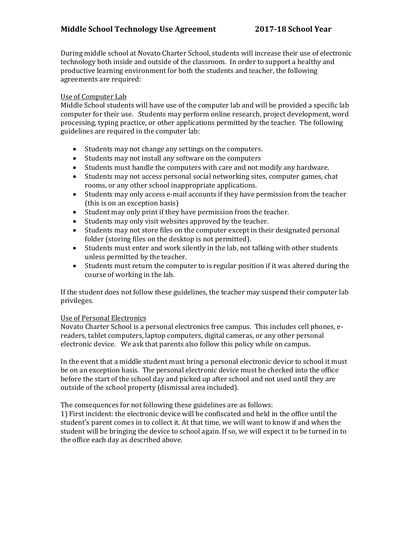# **Middle School Technology Use Agreement 2017-18 School Year**

During middle school at Novato Charter School, students will increase their use of electronic technology both inside and outside of the classroom. In order to support a healthy and productive learning environment for both the students and teacher, the following agreements are required:

### Use of Computer Lab

Middle School students will have use of the computer lab and will be provided a specific lab computer for their use. Students may perform online research, project development, word processing, typing practice, or other applications permitted by the teacher. The following guidelines are required in the computer lab:

- Students may not change any settings on the computers.
- Students may not install any software on the computers
- Students must handle the computers with care and not modify any hardware.
- Students may not access personal social networking sites, computer games, chat rooms, or any other school inappropriate applications.
- Students may only access e-mail accounts if they have permission from the teacher (this is on an exception basis)
- Student may only print if they have permission from the teacher.
- Students may only visit websites approved by the teacher.
- Students may not store files on the computer except in their designated personal folder (storing files on the desktop is not permitted).
- Students must enter and work silently in the lab, not talking with other students unless permitted by the teacher.
- Students must return the computer to is regular position if it was altered during the course of working in the lab.

If the student does not follow these guidelines, the teacher may suspend their computer lab privileges.

#### Use of Personal Electronics

Novato Charter School is a personal electronics free campus. This includes cell phones, ereaders, tablet computers, laptop computers, digital cameras, or any other personal electronic device. We ask that parents also follow this policy while on campus.

In the event that a middle student must bring a personal electronic device to school it must be on an exception basis. The personal electronic device must be checked into the office before the start of the school day and picked up after school and not used until they are outside of the school property (dismissal area included).

The consequences for not following these guidelines are as follows:

1) First incident: the electronic device will be confiscated and held in the office until the student's parent comes in to collect it. At that time, we will want to know if and when the student will be bringing the device to school again. If so, we will expect it to be turned in to the office each day as described above.